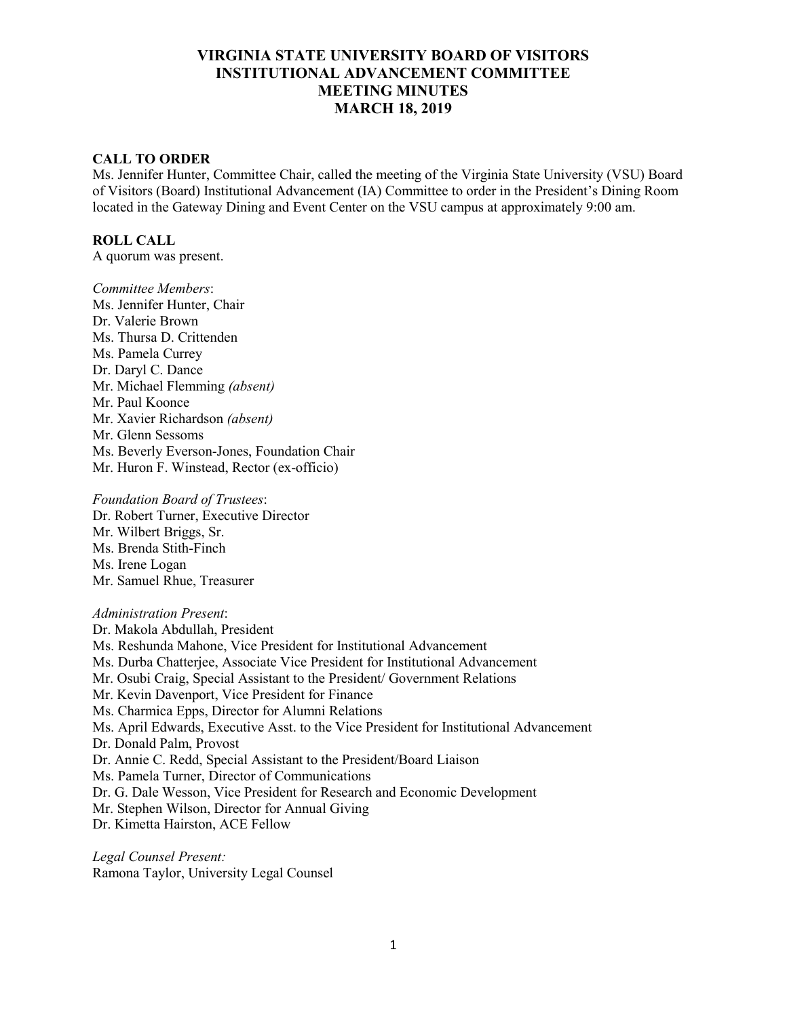### **CALL TO ORDER**

Ms. Jennifer Hunter, Committee Chair, called the meeting of the Virginia State University (VSU) Board of Visitors (Board) Institutional Advancement (IA) Committee to order in the President's Dining Room located in the Gateway Dining and Event Center on the VSU campus at approximately 9:00 am.

## **ROLL CALL**

A quorum was present.

*Committee Members*: Ms. Jennifer Hunter, Chair Dr. Valerie Brown Ms. Thursa D. Crittenden Ms. Pamela Currey Dr. Daryl C. Dance Mr. Michael Flemming *(absent)* Mr. Paul Koonce Mr. Xavier Richardson *(absent)* Mr. Glenn Sessoms Ms. Beverly Everson-Jones, Foundation Chair Mr. Huron F. Winstead, Rector (ex-officio)

#### *Foundation Board of Trustees*:

Dr. Robert Turner, Executive Director Mr. Wilbert Briggs, Sr. Ms. Brenda Stith-Finch Ms. Irene Logan Mr. Samuel Rhue, Treasurer

#### *Administration Present*:

Dr. Makola Abdullah, President Ms. Reshunda Mahone, Vice President for Institutional Advancement Ms. Durba Chatterjee, Associate Vice President for Institutional Advancement Mr. Osubi Craig, Special Assistant to the President/ Government Relations Mr. Kevin Davenport, Vice President for Finance Ms. Charmica Epps, Director for Alumni Relations Ms. April Edwards, Executive Asst. to the Vice President for Institutional Advancement Dr. Donald Palm, Provost Dr. Annie C. Redd, Special Assistant to the President/Board Liaison Ms. Pamela Turner, Director of Communications Dr. G. Dale Wesson, Vice President for Research and Economic Development Mr. Stephen Wilson, Director for Annual Giving Dr. Kimetta Hairston, ACE Fellow

*Legal Counsel Present:* Ramona Taylor, University Legal Counsel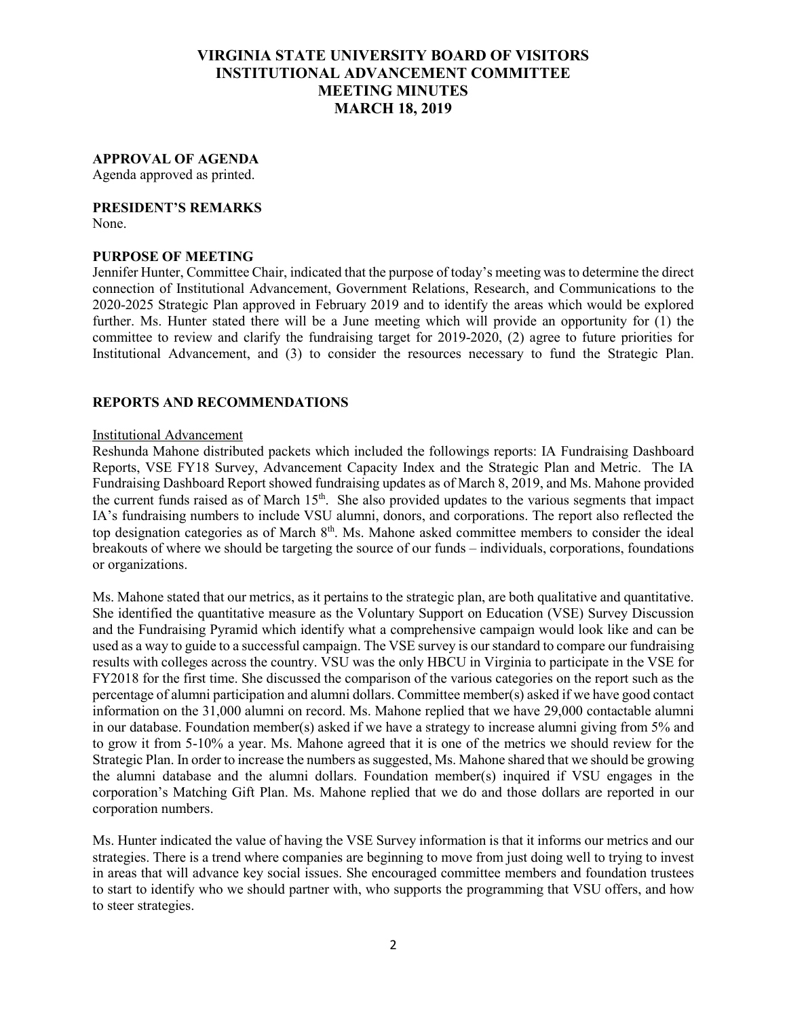## **APPROVAL OF AGENDA**

Agenda approved as printed.

### **PRESIDENT'S REMARKS**

None.

### **PURPOSE OF MEETING**

Jennifer Hunter, Committee Chair, indicated that the purpose of today's meeting was to determine the direct connection of Institutional Advancement, Government Relations, Research, and Communications to the 2020-2025 Strategic Plan approved in February 2019 and to identify the areas which would be explored further. Ms. Hunter stated there will be a June meeting which will provide an opportunity for (1) the committee to review and clarify the fundraising target for 2019-2020, (2) agree to future priorities for Institutional Advancement, and (3) to consider the resources necessary to fund the Strategic Plan.

# **REPORTS AND RECOMMENDATIONS**

### Institutional Advancement

Reshunda Mahone distributed packets which included the followings reports: IA Fundraising Dashboard Reports, VSE FY18 Survey, Advancement Capacity Index and the Strategic Plan and Metric. The IA Fundraising Dashboard Report showed fundraising updates as of March 8, 2019, and Ms. Mahone provided the current funds raised as of March  $15<sup>th</sup>$ . She also provided updates to the various segments that impact IA's fundraising numbers to include VSU alumni, donors, and corporations. The report also reflected the top designation categories as of March 8<sup>th</sup>. Ms. Mahone asked committee members to consider the ideal breakouts of where we should be targeting the source of our funds – individuals, corporations, foundations or organizations.

Ms. Mahone stated that our metrics, as it pertains to the strategic plan, are both qualitative and quantitative. She identified the quantitative measure as the Voluntary Support on Education (VSE) Survey Discussion and the Fundraising Pyramid which identify what a comprehensive campaign would look like and can be used as a way to guide to a successful campaign. The VSE survey is our standard to compare our fundraising results with colleges across the country. VSU was the only HBCU in Virginia to participate in the VSE for FY2018 for the first time. She discussed the comparison of the various categories on the report such as the percentage of alumni participation and alumni dollars. Committee member(s) asked if we have good contact information on the 31,000 alumni on record. Ms. Mahone replied that we have 29,000 contactable alumni in our database. Foundation member(s) asked if we have a strategy to increase alumni giving from 5% and to grow it from 5-10% a year. Ms. Mahone agreed that it is one of the metrics we should review for the Strategic Plan. In order to increase the numbers as suggested, Ms. Mahone shared that we should be growing the alumni database and the alumni dollars. Foundation member(s) inquired if VSU engages in the corporation's Matching Gift Plan. Ms. Mahone replied that we do and those dollars are reported in our corporation numbers.

Ms. Hunter indicated the value of having the VSE Survey information is that it informs our metrics and our strategies. There is a trend where companies are beginning to move from just doing well to trying to invest in areas that will advance key social issues. She encouraged committee members and foundation trustees to start to identify who we should partner with, who supports the programming that VSU offers, and how to steer strategies.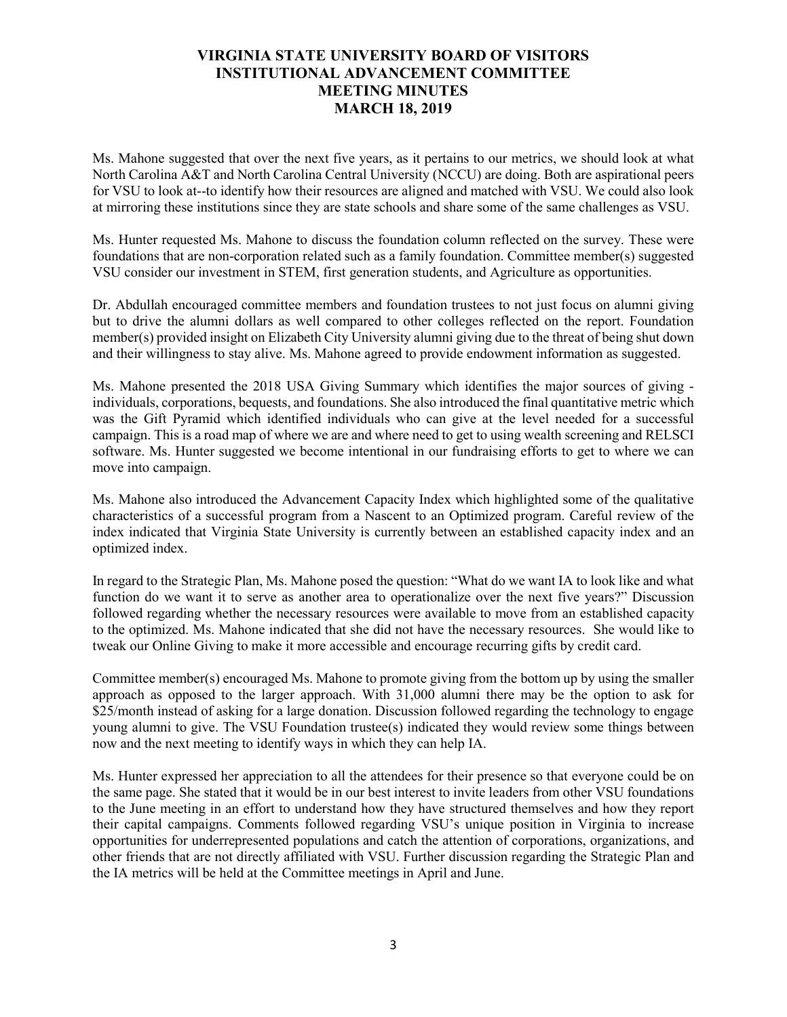Ms. Mahone suggested that over the next five years, as it pertains to our metrics, we should look at what North Carolina A&T and North Carolina Central University (NCCU) are doing. Both are aspirational peers for VSU to look at--to identify how their resources are aligned and matched with VSU. We could also look at mirroring these institutions since they are state schools and share some of the same challenges as VSU.

Ms. Hunter requested Ms. Mahone to discuss the foundation column reflected on the survey. These were foundations that are non-corporation related such as a family foundation. Committee member(s) suggested VSU consider our investment in STEM, first generation students, and Agriculture as opportunities.

Dr. Abdullah encouraged committee members and foundation trustees to not just focus on alumni giving but to drive the alumni dollars as well compared to other colleges reflected on the report. Foundation member(s) provided insight on Elizabeth City University alumni giving due to the threat of being shut down and their willingness to stay alive. Ms. Mahone agreed to provide endowment information as suggested.

Ms. Mahone presented the 2018 USA Giving Summary which identifies the major sources of giving individuals, corporations, bequests, and foundations. She also introduced the final quantitative metric which was the Gift Pyramid which identified individuals who can give at the level needed for a successful campaign. This is a road map of where we are and where need to get to using wealth screening and RELSCI software. Ms. Hunter suggested we become intentional in our fundraising efforts to get to where we can move into campaign.

Ms. Mahone also introduced the Advancement Capacity Index which highlighted some of the qualitative characteristics of a successful program from a Nascent to an Optimized program. Careful review of the index indicated that Virginia State University is currently between an established capacity index and an optimized index.

In regard to the Strategic Plan, Ms. Mahone posed the question: "What do we want IA to look like and what function do we want it to serve as another area to operationalize over the next five years?" Discussion followed regarding whether the necessary resources were available to move from an established capacity to the optimized. Ms. Mahone indicated that she did not have the necessary resources. She would like to tweak our Online Giving to make it more accessible and encourage recurring gifts by credit card.

Committee member(s) encouraged Ms. Mahone to promote giving from the bottom up by using the smaller approach as opposed to the larger approach. With 31,000 alumni there may be the option to ask for \$25/month instead of asking for a large donation. Discussion followed regarding the technology to engage young alumni to give. The VSU Foundation trustee(s) indicated they would review some things between now and the next meeting to identify ways in which they can help IA.

Ms. Hunter expressed her appreciation to all the attendees for their presence so that everyone could be on the same page. She stated that it would be in our best interest to invite leaders from other VSU foundations to the June meeting in an effort to understand how they have structured themselves and how they report their capital campaigns. Comments followed regarding VSU's unique position in Virginia to increase opportunities for underrepresented populations and catch the attention of corporations, organizations, and other friends that are not directly affiliated with VSU. Further discussion regarding the Strategic Plan and the IA metrics will be held at the Committee meetings in April and June.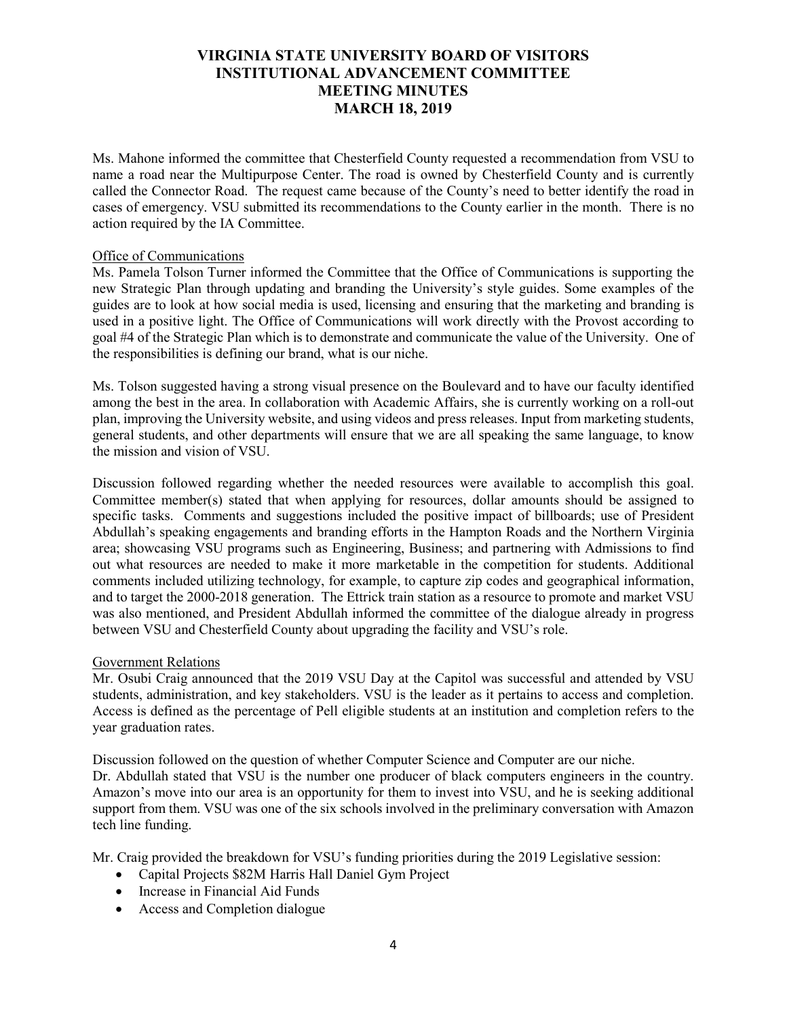Ms. Mahone informed the committee that Chesterfield County requested a recommendation from VSU to name a road near the Multipurpose Center. The road is owned by Chesterfield County and is currently called the Connector Road. The request came because of the County's need to better identify the road in cases of emergency. VSU submitted its recommendations to the County earlier in the month. There is no action required by the IA Committee.

### Office of Communications

Ms. Pamela Tolson Turner informed the Committee that the Office of Communications is supporting the new Strategic Plan through updating and branding the University's style guides. Some examples of the guides are to look at how social media is used, licensing and ensuring that the marketing and branding is used in a positive light. The Office of Communications will work directly with the Provost according to goal #4 of the Strategic Plan which is to demonstrate and communicate the value of the University. One of the responsibilities is defining our brand, what is our niche.

Ms. Tolson suggested having a strong visual presence on the Boulevard and to have our faculty identified among the best in the area. In collaboration with Academic Affairs, she is currently working on a roll-out plan, improving the University website, and using videos and press releases. Input from marketing students, general students, and other departments will ensure that we are all speaking the same language, to know the mission and vision of VSU.

Discussion followed regarding whether the needed resources were available to accomplish this goal. Committee member(s) stated that when applying for resources, dollar amounts should be assigned to specific tasks. Comments and suggestions included the positive impact of billboards; use of President Abdullah's speaking engagements and branding efforts in the Hampton Roads and the Northern Virginia area; showcasing VSU programs such as Engineering, Business; and partnering with Admissions to find out what resources are needed to make it more marketable in the competition for students. Additional comments included utilizing technology, for example, to capture zip codes and geographical information, and to target the 2000-2018 generation. The Ettrick train station as a resource to promote and market VSU was also mentioned, and President Abdullah informed the committee of the dialogue already in progress between VSU and Chesterfield County about upgrading the facility and VSU's role.

### Government Relations

Mr. Osubi Craig announced that the 2019 VSU Day at the Capitol was successful and attended by VSU students, administration, and key stakeholders. VSU is the leader as it pertains to access and completion. Access is defined as the percentage of Pell eligible students at an institution and completion refers to the year graduation rates.

Discussion followed on the question of whether Computer Science and Computer are our niche. Dr. Abdullah stated that VSU is the number one producer of black computers engineers in the country. Amazon's move into our area is an opportunity for them to invest into VSU, and he is seeking additional support from them. VSU was one of the six schools involved in the preliminary conversation with Amazon tech line funding.

Mr. Craig provided the breakdown for VSU's funding priorities during the 2019 Legislative session:

- Capital Projects \$82M Harris Hall Daniel Gym Project
- Increase in Financial Aid Funds
- Access and Completion dialogue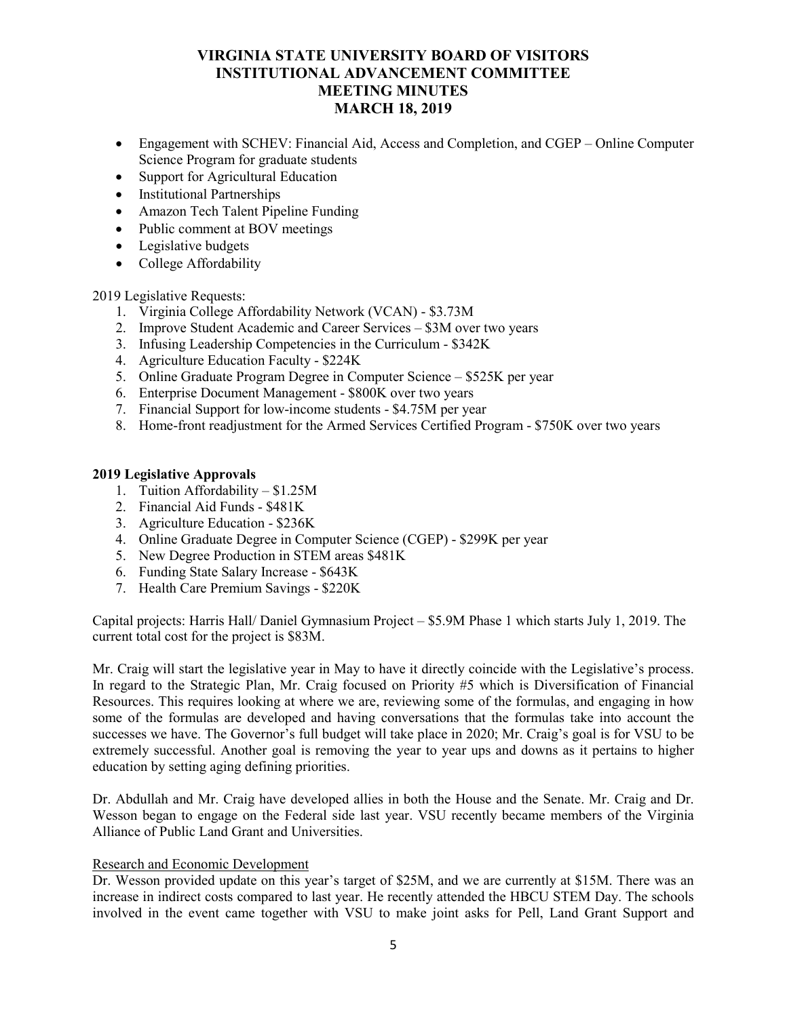- Engagement with SCHEV: Financial Aid, Access and Completion, and CGEP Online Computer Science Program for graduate students
- Support for Agricultural Education
- Institutional Partnerships
- Amazon Tech Talent Pipeline Funding
- Public comment at BOV meetings
- Legislative budgets
- College Affordability

2019 Legislative Requests:

- 1. Virginia College Affordability Network (VCAN) \$3.73M
- 2. Improve Student Academic and Career Services \$3M over two years
- 3. Infusing Leadership Competencies in the Curriculum \$342K
- 4. Agriculture Education Faculty \$224K
- 5. Online Graduate Program Degree in Computer Science \$525K per year
- 6. Enterprise Document Management \$800K over two years
- 7. Financial Support for low-income students \$4.75M per year
- 8. Home-front readjustment for the Armed Services Certified Program \$750K over two years

### **2019 Legislative Approvals**

- 1. Tuition Affordability \$1.25M
- 2. Financial Aid Funds \$481K
- 3. Agriculture Education \$236K
- 4. Online Graduate Degree in Computer Science (CGEP) \$299K per year
- 5. New Degree Production in STEM areas \$481K
- 6. Funding State Salary Increase \$643K
- 7. Health Care Premium Savings \$220K

Capital projects: Harris Hall/ Daniel Gymnasium Project – \$5.9M Phase 1 which starts July 1, 2019. The current total cost for the project is \$83M.

Mr. Craig will start the legislative year in May to have it directly coincide with the Legislative's process. In regard to the Strategic Plan, Mr. Craig focused on Priority #5 which is Diversification of Financial Resources. This requires looking at where we are, reviewing some of the formulas, and engaging in how some of the formulas are developed and having conversations that the formulas take into account the successes we have. The Governor's full budget will take place in 2020; Mr. Craig's goal is for VSU to be extremely successful. Another goal is removing the year to year ups and downs as it pertains to higher education by setting aging defining priorities.

Dr. Abdullah and Mr. Craig have developed allies in both the House and the Senate. Mr. Craig and Dr. Wesson began to engage on the Federal side last year. VSU recently became members of the Virginia Alliance of Public Land Grant and Universities.

### Research and Economic Development

Dr. Wesson provided update on this year's target of \$25M, and we are currently at \$15M. There was an increase in indirect costs compared to last year. He recently attended the HBCU STEM Day. The schools involved in the event came together with VSU to make joint asks for Pell, Land Grant Support and